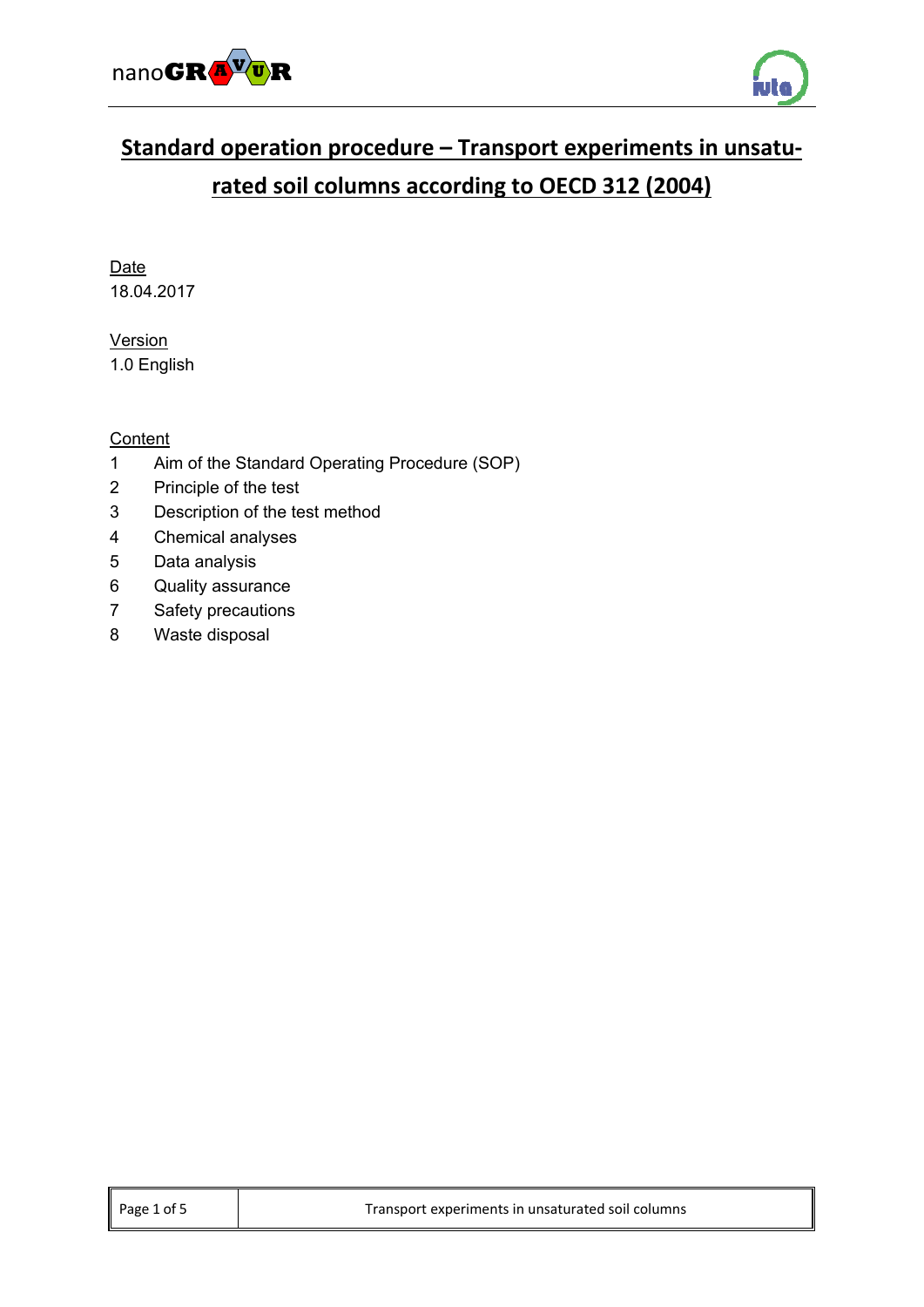



# **Standard operation procedure – Transport experiments in unsatu‐ rated soil columns according to OECD 312 (2004)**

Date 18.04.2017

**Version** 1.0 English

## **Content**

- 1 Aim of the Standard Operating Procedure (SOP)
- 2 Principle of the test
- 3 Description of the test method
- 4 Chemical analyses
- 5 Data analysis
- 6 Quality assurance
- 7 Safety precautions
- 8 Waste disposal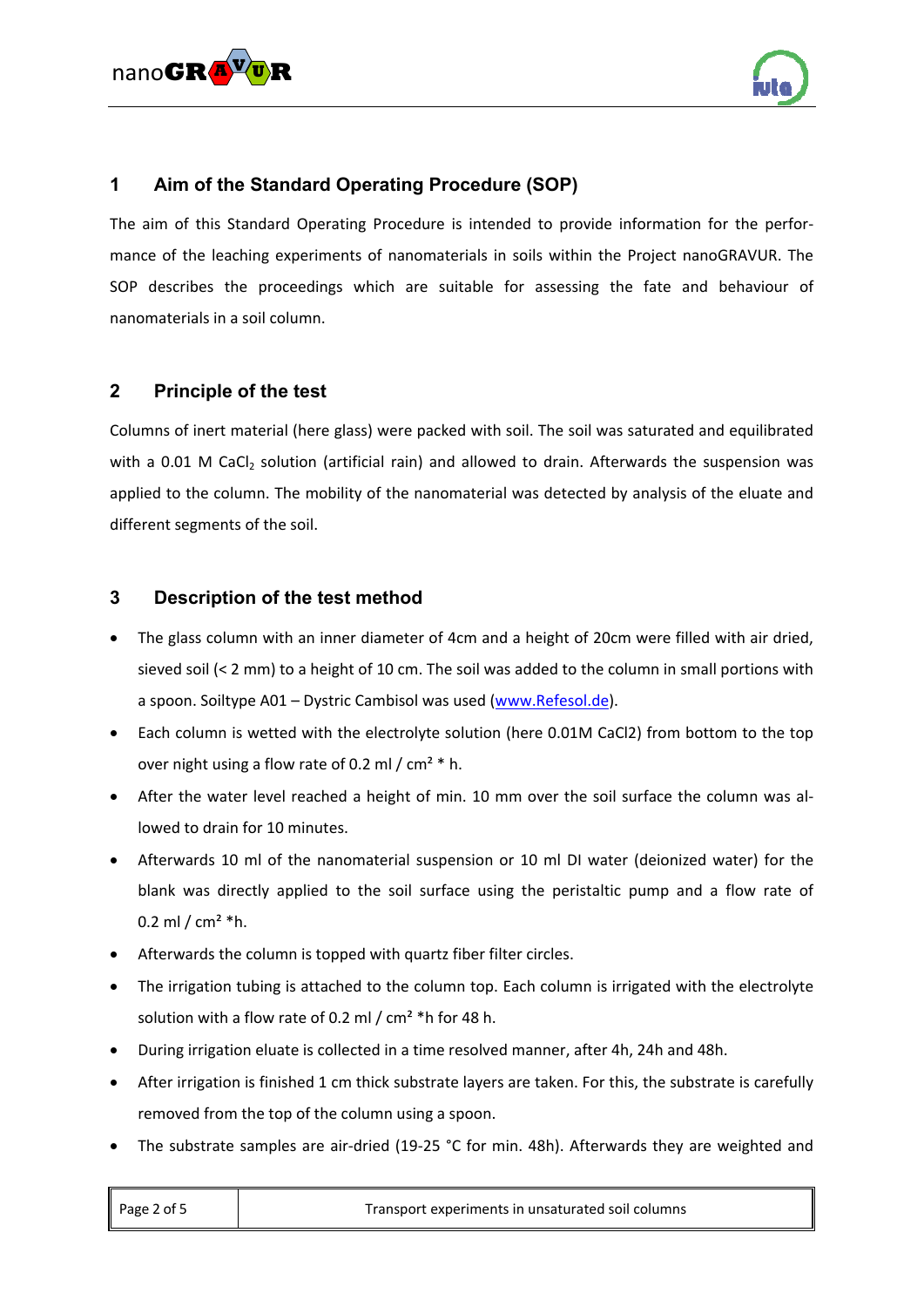



# **1 Aim of the Standard Operating Procedure (SOP)**

The aim of this Standard Operating Procedure is intended to provide information for the performance of the leaching experiments of nanomaterials in soils within the Project nanoGRAVUR. The SOP describes the proceedings which are suitable for assessing the fate and behaviour of nanomaterials in a soil column.

#### **2 Principle of the test**

Columns of inert material (here glass) were packed with soil. The soil was saturated and equilibrated with a  $0.01$  M CaCl<sub>2</sub> solution (artificial rain) and allowed to drain. Afterwards the suspension was applied to the column. The mobility of the nanomaterial was detected by analysis of the eluate and different segments of the soil.

#### **3 Description of the test method**

- The glass column with an inner diameter of 4cm and a height of 20cm were filled with air dried, sieved soil (< 2 mm) to a height of 10 cm. The soil was added to the column in small portions with a spoon. Soiltype A01 – Dystric Cambisol was used (www.Refesol.de).
- Each column is wetted with the electrolyte solution (here 0.01M CaCl2) from bottom to the top over night using a flow rate of 0.2 ml /  $cm<sup>2</sup>$  \* h.
- After the water level reached a height of min. 10 mm over the soil surface the column was allowed to drain for 10 minutes.
- Afterwards 10 ml of the nanomaterial suspension or 10 ml DI water (deionized water) for the blank was directly applied to the soil surface using the peristaltic pump and a flow rate of 0.2 ml /  $cm<sup>2</sup> *h$ .
- Afterwards the column is topped with quartz fiber filter circles.
- The irrigation tubing is attached to the column top. Each column is irrigated with the electrolyte solution with a flow rate of 0.2 ml / cm² \*h for 48 h.
- During irrigation eluate is collected in a time resolved manner, after 4h, 24h and 48h.
- After irrigation is finished 1 cm thick substrate layers are taken. For this, the substrate is carefully removed from the top of the column using a spoon.
- The substrate samples are air-dried (19-25 °C for min. 48h). Afterwards they are weighted and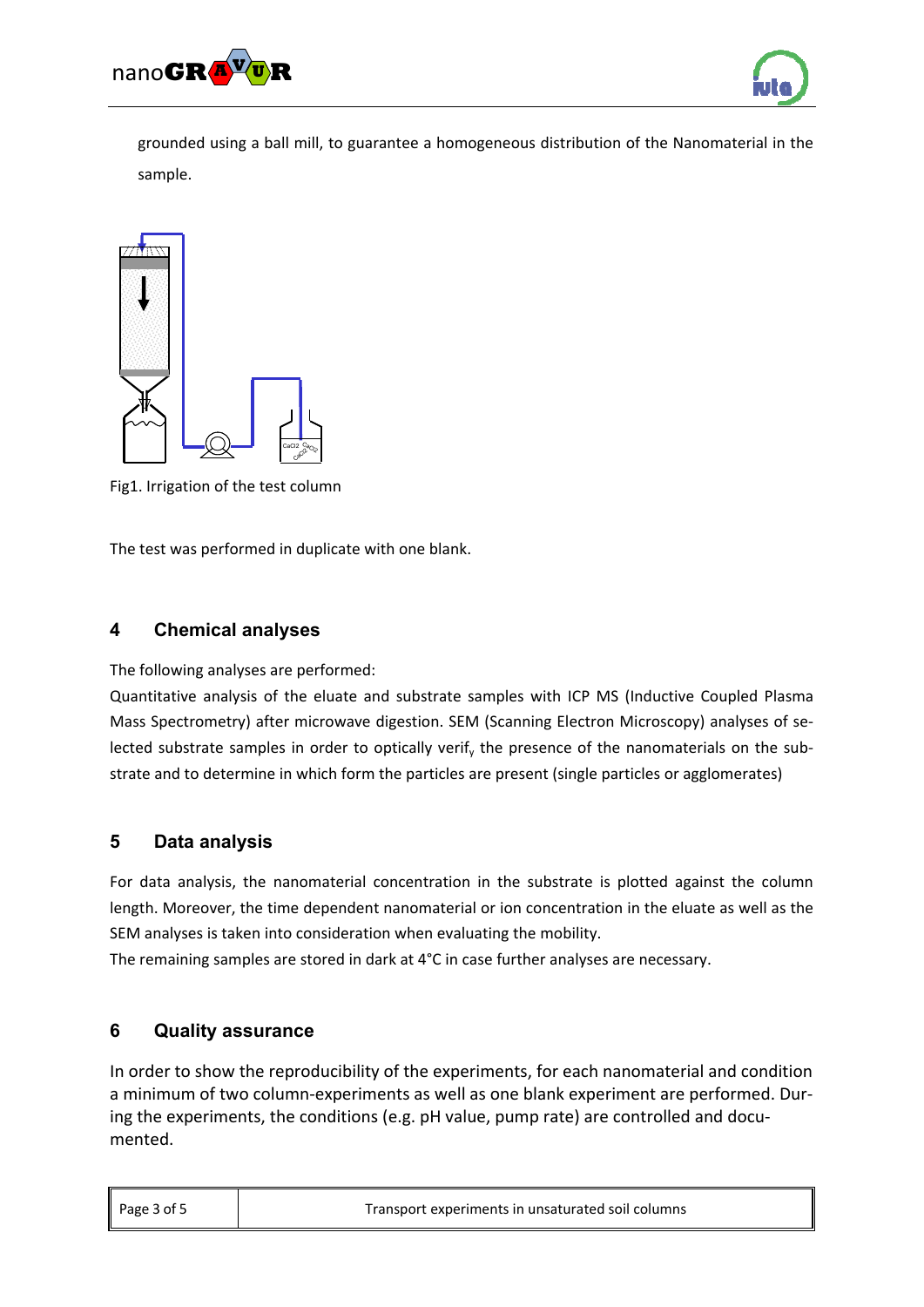



grounded using a ball mill, to guarantee a homogeneous distribution of the Nanomaterial in the sample.



Fig1. Irrigation of the test column

The test was performed in duplicate with one blank.

# **4 Chemical analyses**

The following analyses are performed:

Quantitative analysis of the eluate and substrate samples with ICP MS (Inductive Coupled Plasma Mass Spectrometry) after microwave digestion. SEM (Scanning Electron Microscopy) analyses of se‐ lected substrate samples in order to optically verif<sub>y</sub> the presence of the nanomaterials on the substrate and to determine in which form the particles are present (single particles or agglomerates)

### **5 Data analysis**

For data analysis, the nanomaterial concentration in the substrate is plotted against the column length. Moreover, the time dependent nanomaterial or ion concentration in the eluate as well as the SEM analyses is taken into consideration when evaluating the mobility.

The remaining samples are stored in dark at 4°C in case further analyses are necessary.

### **6 Quality assurance**

In order to show the reproducibility of the experiments, for each nanomaterial and condition a minimum of two column-experiments as well as one blank experiment are performed. During the experiments, the conditions (e.g. pH value, pump rate) are controlled and documented.

| Page $3$ of $5$ | Transport experiments in unsaturated soil columns |
|-----------------|---------------------------------------------------|
|                 |                                                   |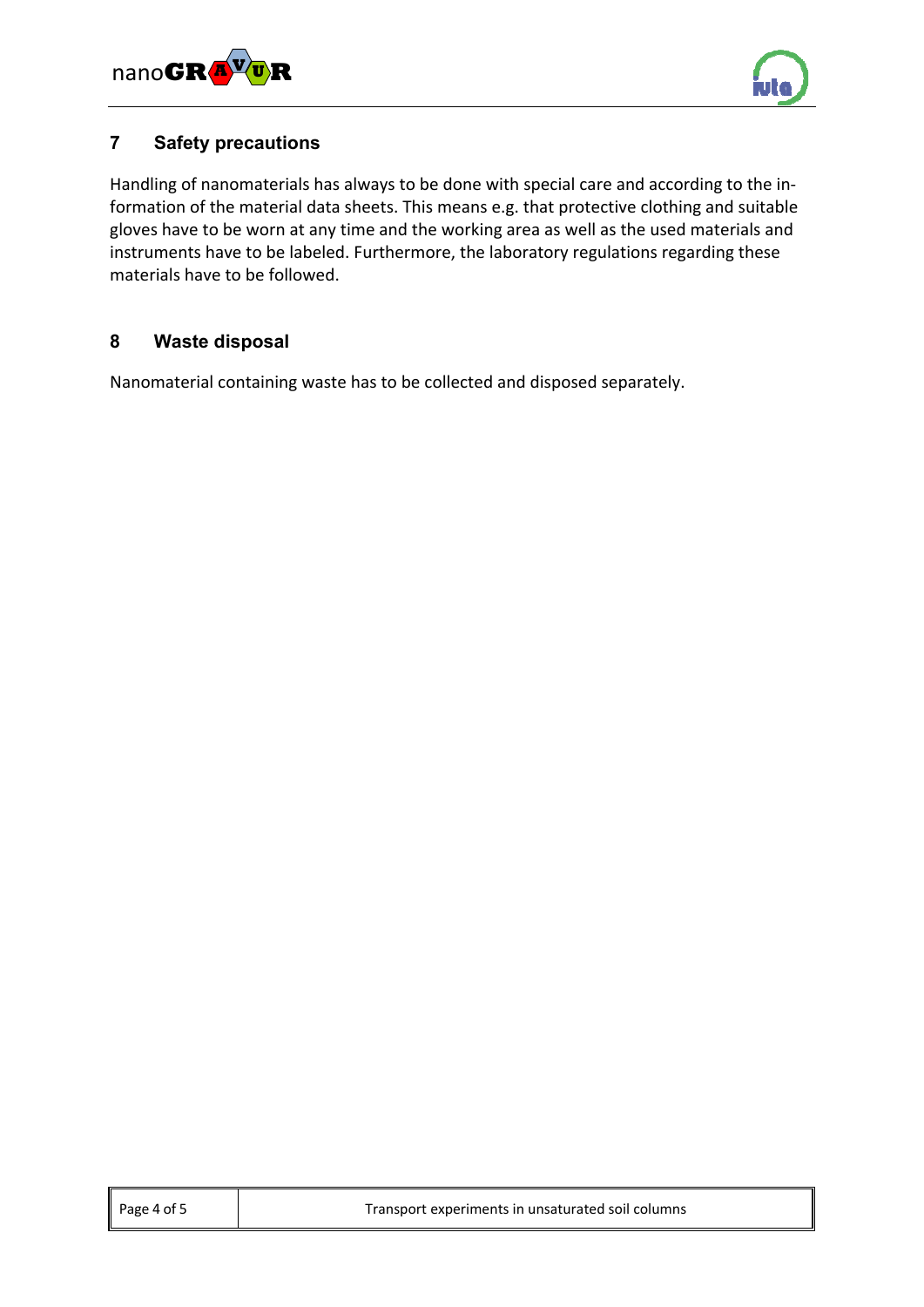



## **7 Safety precautions**

Handling of nanomaterials has always to be done with special care and according to the in‐ formation of the material data sheets. This means e.g. that protective clothing and suitable gloves have to be worn at any time and the working area as well as the used materials and instruments have to be labeled. Furthermore, the laboratory regulations regarding these materials have to be followed.

# **8 Waste disposal**

Nanomaterial containing waste has to be collected and disposed separately.